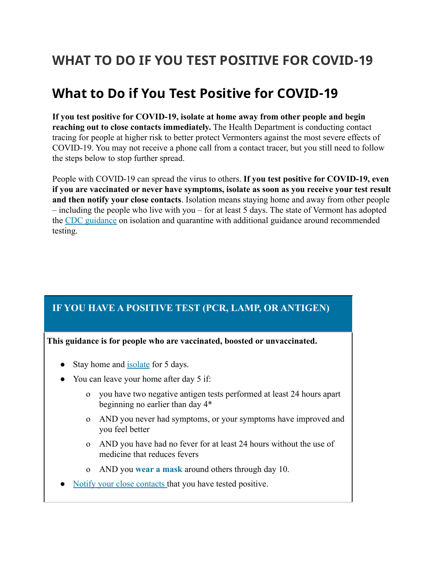# **WHAT TO DO IF YOU TEST POSITIVE FOR COVID-19**

# **What to Do if You Test Positive for COVID-19**

**If you test positive for COVID-19, isolate at home away from other people and begin reaching out to close contacts immediately.** The Health Department is conducting contact tracing for people at higher risk to better protect Vermonters against the most severe effects of COVID-19. You may not receive a phone call from a contact tracer, but you still need to follow the steps below to stop further spread.

People with COVID-19 can spread the virus to others. **If you test positive for COVID-19, even if you are vaccinated or never have symptoms, isolate as soon as you receive your test result and then notify your close contacts**. Isolation means staying home and away from other people – including the people who live with you – for at least 5 days. The state of Vermont has adopted the [CDC guidance](https://www.cdc.gov/media/releases/2021/s1227-isolation-quarantine-guidance.html) on isolation and quarantine with additional guidance around recommended testing.

# **IF YOU HAVE A POSITIVE TEST (PCR, LAMP, OR ANTIGEN)**

**This guidance is for people who are vaccinated, boosted or unvaccinated.**

- Stay home and [isolate](https://www.healthvermont.gov/covid-19/symptoms-sickness/what-do-if-you-test-positive-covid-19#recovery) for 5 days.
- You can leave your home after day 5 if:
	- o you have two negative antigen tests performed at least 24 hours apart beginning no earlier than day 4\*
	- o AND you never had symptoms, or your symptoms have improved and you feel better
	- o AND you have had no fever for at least 24 hours without the use of medicine that reduces fevers
	- o AND you **[wear a mask](https://www.healthvermont.gov/covid-19/protect-yourself-others#mask)** around others through day 10.
- [Notify your close contacts](https://www.healthvermont.gov/covid-19/symptoms-sickness/what-do-if-you-test-positive-covid-19#notify) that you have tested positive.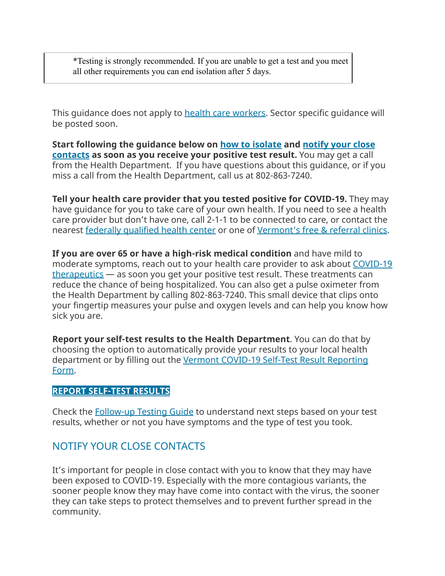\*Testing is strongly recommended. If you are unable to get a test and you meet all other requirements you can end isolation after 5 days.

This guidance does not apply to **health care workers**. Sector specific guidance will be posted soon.

**Start following the guidance below on [how to isolate](https://www.healthvermont.gov/covid-19/symptoms-sickness/what-do-if-you-test-positive-covid-19#isolate) and notify [your close](https://www.healthvermont.gov/covid-19/symptoms-sickness/what-do-if-you-test-positive-covid-19#notify) [contacts](https://www.healthvermont.gov/covid-19/symptoms-sickness/what-do-if-you-test-positive-covid-19#notify) as soon as you receive your positive test result.** You may get a call from the Health Department. If you have questions about this guidance, or if you miss a call from the Health Department, call us at 802-863-7240.

**Tell your health care provider that you tested positive for COVID-19.** They may have guidance for you to take care of your own health. If you need to see a health care provider but don't have one, call 2-1-1 to be connected to care, or contact the nearest [federally qualified health center](https://bistatepca.org/community-resources/vt-health-centers) or one of Vermont's [free & referral clinics.](https://vtfreeclinics.org/)

**If you are over 65 or have a high-risk medical condition** and have mild to moderate symptoms, reach out to your health care provider to ask about [COVID-19](https://www.healthvermont.gov/covid-19/symptoms-sickness/treatment-covid-19) [therapeutics](https://www.healthvermont.gov/covid-19/symptoms-sickness/treatment-covid-19) — as soon you get your positive test result. These treatments can reduce the chance of being hospitalized. You can also get a pulse oximeter from the Health Department by calling 802-863-7240. This small device that clips onto your fingertip measures your pulse and oxygen levels and can help you know how sick you are.

**Report your self-test results to the Health Department**. You can do that by choosing the option to automatically provide your results to your local health department or by filling out the Vermont COVID-19 [Self-Test Result Reporting](https://survey.alchemer.com/s3/6507748/Vermont-COVID-19-Self-Test-Result-Reporting-Form) [Form.](https://survey.alchemer.com/s3/6507748/Vermont-COVID-19-Self-Test-Result-Reporting-Form)

#### **[REPORT SELF-TEST RESULTS](https://survey.alchemer.com/s3/6507748/Vermont-COVID-19-Self-Test-Result-Reporting-Form)**

Check the [Follow-up Testing Guide](https://www.healthvermont.gov/sites/default/files/documents/pdf/COVID-19-Follow-up-Testing-Guide.pdf) to understand next steps based on your test results, whether or not you have symptoms and the type of test you took.

#### NOTIFY YOUR CLOSE CONTACTS

It's important for people in close contact with you to know that they may have been exposed to COVID-19. Especially with the more contagious variants, the sooner people know they may have come into contact with the virus, the sooner they can take steps to protect themselves and to prevent further spread in the community.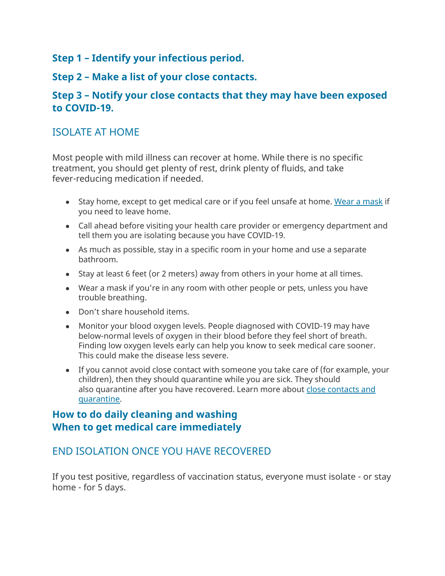#### **Step 1 – Identify your infectious period.**

### **Step 2 – Make a list of your close contacts.**

### **Step 3 – Notify your close contacts that they may have been exposed to COVID-19.**

# ISOLATE AT HOME

Most people with mild illness can recover at home. While there is no specific treatment, you should get plenty of rest, drink plenty of fluids, and take fever-reducing medication if needed.

- Stay home, except to get medical care or if you feel unsafe at home. Wear a [mask](https://www.healthvermont.gov/sites/default/files/documents/pdf/COVID-19-VDH-mask-guidance.pdf) if you need to leave home.
- Call ahead before visiting your health care provider or emergency department and tell them you are isolating because you have COVID-19.
- As much as possible, stay in a specific room in your home and use a separate bathroom.
- Stay at least 6 feet (or 2 meters) away from others in your home at all times.
- Wear a mask if you're in any room with other people or pets, unless you have trouble breathing.
- Don't share household items.
- Monitor your blood oxygen levels. People diagnosed with COVID-19 may have below-normal levels of oxygen in their blood before they feel short of breath. Finding low oxygen levels early can help you know to seek medical care sooner. This could make the disease less severe.
- If you cannot avoid close contact with someone you take care of (for example, your children), then they should quarantine while you are sick. They should also quarantine after you have recovered. Learn more about close [contacts](https://www.healthvermont.gov/covid-19/symptoms-sickness/what-do-if-you-are-close-contact#quarantine) and [quarantine.](https://www.healthvermont.gov/covid-19/symptoms-sickness/what-do-if-you-are-close-contact#quarantine)

### **How to do daily cleaning and washing When to get medical care immediately**

# END ISOLATION ONCE YOU HAVE RECOVERED

If you test positive, regardless of vaccination status, everyone must isolate - or stay home - for 5 days.